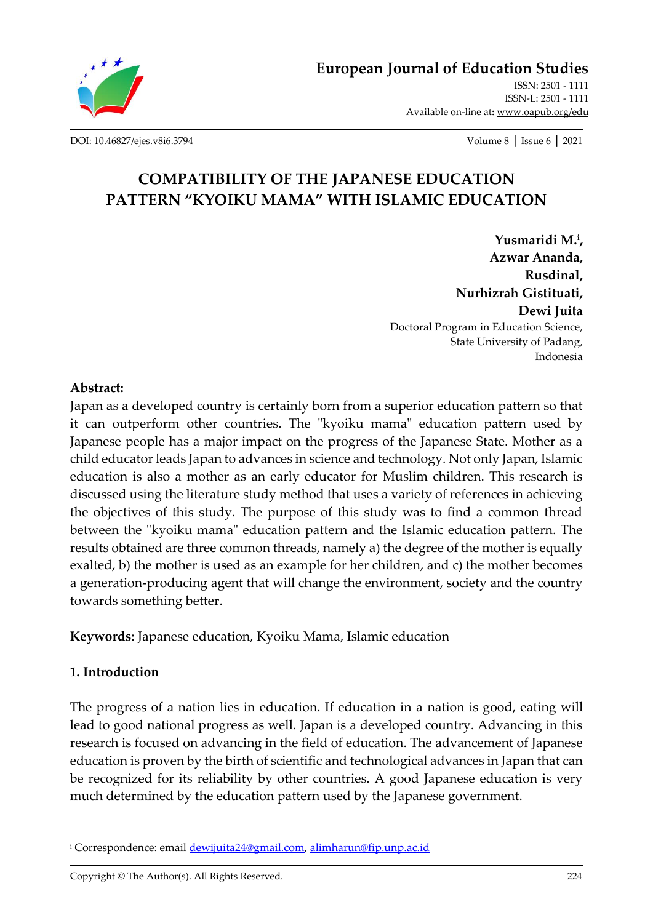

**[European Journal of Education Studies](http://oapub.org/edu/index.php/ejes)** [ISSN: 2501 -](http://oapub.org/edu/index.php/ejes) 1111 [ISSN-L: 2501 -](http://oapub.org/edu/index.php/ejes) 1111 Available on-line at**:** [www.oapub.org/edu](http://www.oapub.org/edu)

[DOI: 10.46827/ejes.v8i6.3794](http://dx.doi.org/10.46827/ejes.v8i6.3794) Volume 8 │ Issue 6 │ 2021

# **COMPATIBILITY OF THE JAPANESE EDUCATION PATTERN "KYOIKU MAMA" WITH ISLAMIC EDUCATION**

**Yusmaridi M. i , Azwar Ananda, Rusdinal, Nurhizrah Gistituati, Dewi Juita** Doctoral Program in Education Science, State University of Padang, Indonesia

### **Abstract:**

Japan as a developed country is certainly born from a superior education pattern so that it can outperform other countries. The "kyoiku mama" education pattern used by Japanese people has a major impact on the progress of the Japanese State. Mother as a child educator leads Japan to advances in science and technology. Not only Japan, Islamic education is also a mother as an early educator for Muslim children. This research is discussed using the literature study method that uses a variety of references in achieving the objectives of this study. The purpose of this study was to find a common thread between the "kyoiku mama" education pattern and the Islamic education pattern. The results obtained are three common threads, namely a) the degree of the mother is equally exalted, b) the mother is used as an example for her children, and c) the mother becomes a generation-producing agent that will change the environment, society and the country towards something better.

**Keywords:** Japanese education, Kyoiku Mama, Islamic education

# **1. Introduction**

The progress of a nation lies in education. If education in a nation is good, eating will lead to good national progress as well. Japan is a developed country. Advancing in this research is focused on advancing in the field of education. The advancement of Japanese education is proven by the birth of scientific and technological advances in Japan that can be recognized for its reliability by other countries. A good Japanese education is very much determined by the education pattern used by the Japanese government.

Copyright © The Author(s). All Rights Reserved. 224

<sup>&</sup>lt;sup>i</sup> Correspondence: email **dewijuita24@gmail.com**, [alimharun@fip.unp.ac.id](mailto:alimharun@fip.unp.ac.id)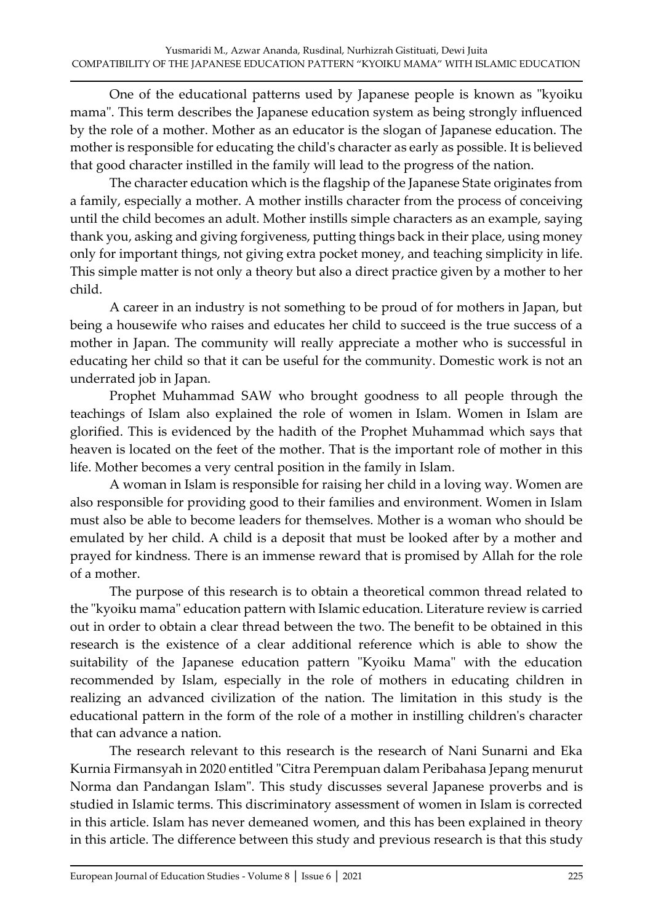One of the educational patterns used by Japanese people is known as "kyoiku mama". This term describes the Japanese education system as being strongly influenced by the role of a mother. Mother as an educator is the slogan of Japanese education. The mother is responsible for educating the child's character as early as possible. It is believed that good character instilled in the family will lead to the progress of the nation.

The character education which is the flagship of the Japanese State originates from a family, especially a mother. A mother instills character from the process of conceiving until the child becomes an adult. Mother instills simple characters as an example, saying thank you, asking and giving forgiveness, putting things back in their place, using money only for important things, not giving extra pocket money, and teaching simplicity in life. This simple matter is not only a theory but also a direct practice given by a mother to her child.

A career in an industry is not something to be proud of for mothers in Japan, but being a housewife who raises and educates her child to succeed is the true success of a mother in Japan. The community will really appreciate a mother who is successful in educating her child so that it can be useful for the community. Domestic work is not an underrated job in Japan.

Prophet Muhammad SAW who brought goodness to all people through the teachings of Islam also explained the role of women in Islam. Women in Islam are glorified. This is evidenced by the hadith of the Prophet Muhammad which says that heaven is located on the feet of the mother. That is the important role of mother in this life. Mother becomes a very central position in the family in Islam.

A woman in Islam is responsible for raising her child in a loving way. Women are also responsible for providing good to their families and environment. Women in Islam must also be able to become leaders for themselves. Mother is a woman who should be emulated by her child. A child is a deposit that must be looked after by a mother and prayed for kindness. There is an immense reward that is promised by Allah for the role of a mother.

The purpose of this research is to obtain a theoretical common thread related to the "kyoiku mama" education pattern with Islamic education. Literature review is carried out in order to obtain a clear thread between the two. The benefit to be obtained in this research is the existence of a clear additional reference which is able to show the suitability of the Japanese education pattern "Kyoiku Mama" with the education recommended by Islam, especially in the role of mothers in educating children in realizing an advanced civilization of the nation. The limitation in this study is the educational pattern in the form of the role of a mother in instilling children's character that can advance a nation.

The research relevant to this research is the research of Nani Sunarni and Eka Kurnia Firmansyah in 2020 entitled "Citra Perempuan dalam Peribahasa Jepang menurut Norma dan Pandangan Islam". This study discusses several Japanese proverbs and is studied in Islamic terms. This discriminatory assessment of women in Islam is corrected in this article. Islam has never demeaned women, and this has been explained in theory in this article. The difference between this study and previous research is that this study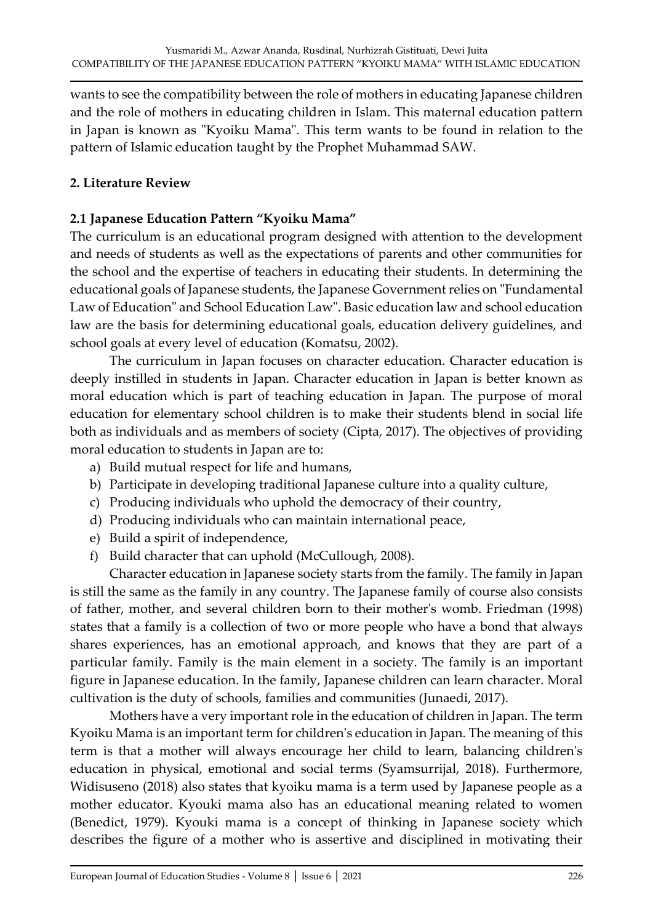wants to see the compatibility between the role of mothers in educating Japanese children and the role of mothers in educating children in Islam. This maternal education pattern in Japan is known as "Kyoiku Mama". This term wants to be found in relation to the pattern of Islamic education taught by the Prophet Muhammad SAW.

# **2. Literature Review**

## **2.1 Japanese Education Pattern "Kyoiku Mama"**

The curriculum is an educational program designed with attention to the development and needs of students as well as the expectations of parents and other communities for the school and the expertise of teachers in educating their students. In determining the educational goals of Japanese students, the Japanese Government relies on "Fundamental Law of Education" and School Education Law". Basic education law and school education law are the basis for determining educational goals, education delivery guidelines, and school goals at every level of education (Komatsu, 2002).

The curriculum in Japan focuses on character education. Character education is deeply instilled in students in Japan. Character education in Japan is better known as moral education which is part of teaching education in Japan. The purpose of moral education for elementary school children is to make their students blend in social life both as individuals and as members of society (Cipta, 2017). The objectives of providing moral education to students in Japan are to:

- a) Build mutual respect for life and humans,
- b) Participate in developing traditional Japanese culture into a quality culture,
- c) Producing individuals who uphold the democracy of their country,
- d) Producing individuals who can maintain international peace,
- e) Build a spirit of independence,
- f) Build character that can uphold (McCullough, 2008).

Character education in Japanese society starts from the family. The family in Japan is still the same as the family in any country. The Japanese family of course also consists of father, mother, and several children born to their mother's womb. Friedman (1998) states that a family is a collection of two or more people who have a bond that always shares experiences, has an emotional approach, and knows that they are part of a particular family. Family is the main element in a society. The family is an important figure in Japanese education. In the family, Japanese children can learn character. Moral cultivation is the duty of schools, families and communities (Junaedi, 2017).

Mothers have a very important role in the education of children in Japan. The term Kyoiku Mama is an important term for children's education in Japan. The meaning of this term is that a mother will always encourage her child to learn, balancing children's education in physical, emotional and social terms (Syamsurrijal, 2018). Furthermore, Widisuseno (2018) also states that kyoiku mama is a term used by Japanese people as a mother educator. Kyouki mama also has an educational meaning related to women (Benedict, 1979). Kyouki mama is a concept of thinking in Japanese society which describes the figure of a mother who is assertive and disciplined in motivating their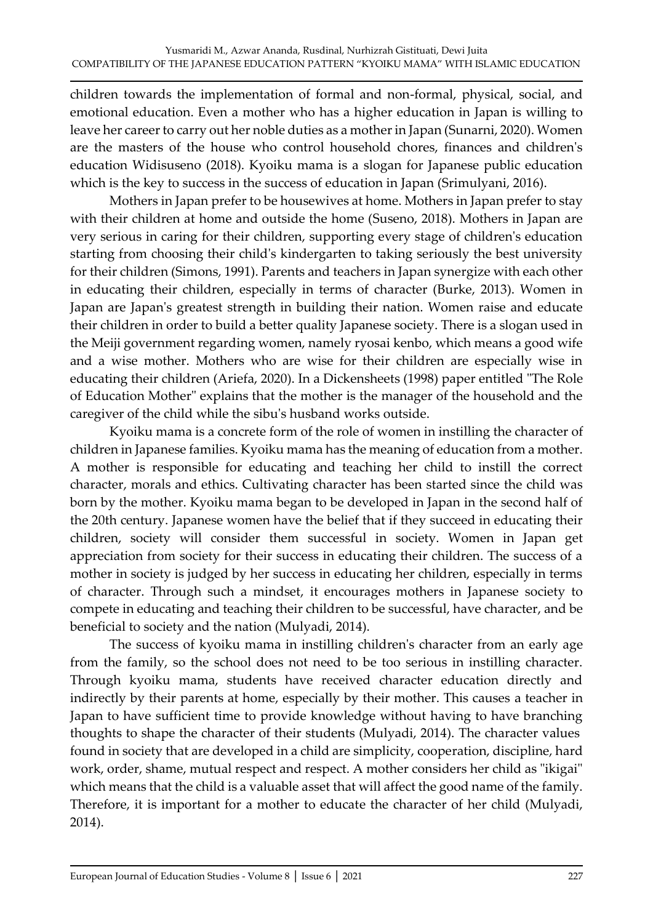children towards the implementation of formal and non-formal, physical, social, and emotional education. Even a mother who has a higher education in Japan is willing to leave her career to carry out her noble duties as a mother in Japan (Sunarni, 2020). Women are the masters of the house who control household chores, finances and children's education Widisuseno (2018). Kyoiku mama is a slogan for Japanese public education which is the key to success in the success of education in Japan (Srimulyani, 2016).

Mothers in Japan prefer to be housewives at home. Mothers in Japan prefer to stay with their children at home and outside the home (Suseno, 2018). Mothers in Japan are very serious in caring for their children, supporting every stage of children's education starting from choosing their child's kindergarten to taking seriously the best university for their children (Simons, 1991). Parents and teachers in Japan synergize with each other in educating their children, especially in terms of character (Burke, 2013). Women in Japan are Japan's greatest strength in building their nation. Women raise and educate their children in order to build a better quality Japanese society. There is a slogan used in the Meiji government regarding women, namely ryosai kenbo, which means a good wife and a wise mother. Mothers who are wise for their children are especially wise in educating their children (Ariefa, 2020). In a Dickensheets (1998) paper entitled "The Role of Education Mother" explains that the mother is the manager of the household and the caregiver of the child while the sibu's husband works outside.

Kyoiku mama is a concrete form of the role of women in instilling the character of children in Japanese families. Kyoiku mama has the meaning of education from a mother. A mother is responsible for educating and teaching her child to instill the correct character, morals and ethics. Cultivating character has been started since the child was born by the mother. Kyoiku mama began to be developed in Japan in the second half of the 20th century. Japanese women have the belief that if they succeed in educating their children, society will consider them successful in society. Women in Japan get appreciation from society for their success in educating their children. The success of a mother in society is judged by her success in educating her children, especially in terms of character. Through such a mindset, it encourages mothers in Japanese society to compete in educating and teaching their children to be successful, have character, and be beneficial to society and the nation (Mulyadi, 2014).

The success of kyoiku mama in instilling children's character from an early age from the family, so the school does not need to be too serious in instilling character. Through kyoiku mama, students have received character education directly and indirectly by their parents at home, especially by their mother. This causes a teacher in Japan to have sufficient time to provide knowledge without having to have branching thoughts to shape the character of their students (Mulyadi, 2014). The character values found in society that are developed in a child are simplicity, cooperation, discipline, hard work, order, shame, mutual respect and respect. A mother considers her child as "ikigai" which means that the child is a valuable asset that will affect the good name of the family. Therefore, it is important for a mother to educate the character of her child (Mulyadi, 2014).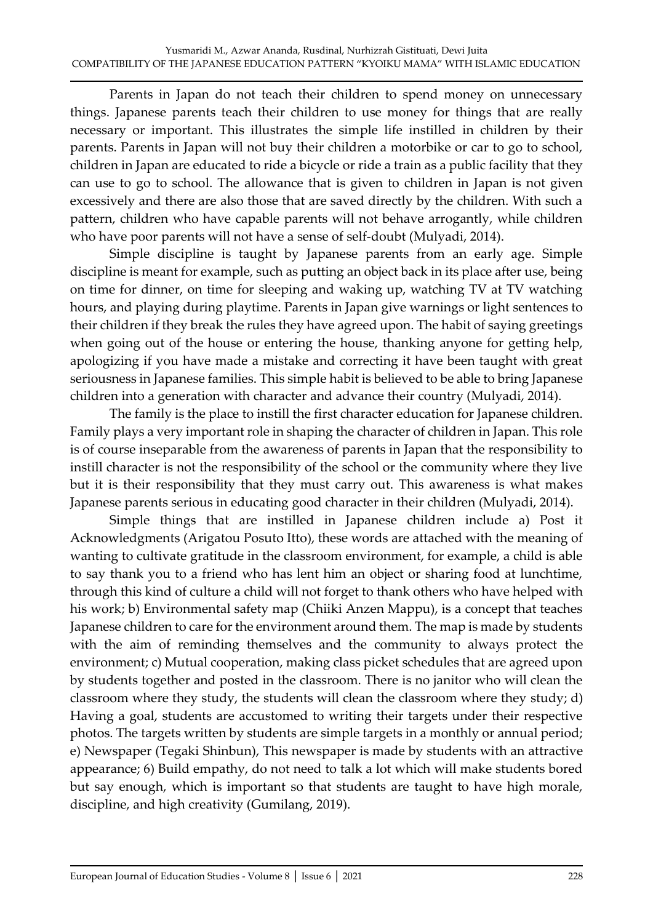Parents in Japan do not teach their children to spend money on unnecessary things. Japanese parents teach their children to use money for things that are really necessary or important. This illustrates the simple life instilled in children by their parents. Parents in Japan will not buy their children a motorbike or car to go to school, children in Japan are educated to ride a bicycle or ride a train as a public facility that they can use to go to school. The allowance that is given to children in Japan is not given excessively and there are also those that are saved directly by the children. With such a pattern, children who have capable parents will not behave arrogantly, while children who have poor parents will not have a sense of self-doubt (Mulyadi, 2014).

Simple discipline is taught by Japanese parents from an early age. Simple discipline is meant for example, such as putting an object back in its place after use, being on time for dinner, on time for sleeping and waking up, watching TV at TV watching hours, and playing during playtime. Parents in Japan give warnings or light sentences to their children if they break the rules they have agreed upon. The habit of saying greetings when going out of the house or entering the house, thanking anyone for getting help, apologizing if you have made a mistake and correcting it have been taught with great seriousness in Japanese families. This simple habit is believed to be able to bring Japanese children into a generation with character and advance their country (Mulyadi, 2014).

The family is the place to instill the first character education for Japanese children. Family plays a very important role in shaping the character of children in Japan. This role is of course inseparable from the awareness of parents in Japan that the responsibility to instill character is not the responsibility of the school or the community where they live but it is their responsibility that they must carry out. This awareness is what makes Japanese parents serious in educating good character in their children (Mulyadi, 2014).

Simple things that are instilled in Japanese children include a) Post it Acknowledgments (Arigatou Posuto Itto), these words are attached with the meaning of wanting to cultivate gratitude in the classroom environment, for example, a child is able to say thank you to a friend who has lent him an object or sharing food at lunchtime, through this kind of culture a child will not forget to thank others who have helped with his work; b) Environmental safety map (Chiiki Anzen Mappu), is a concept that teaches Japanese children to care for the environment around them. The map is made by students with the aim of reminding themselves and the community to always protect the environment; c) Mutual cooperation, making class picket schedules that are agreed upon by students together and posted in the classroom. There is no janitor who will clean the classroom where they study, the students will clean the classroom where they study; d) Having a goal, students are accustomed to writing their targets under their respective photos. The targets written by students are simple targets in a monthly or annual period; e) Newspaper (Tegaki Shinbun), This newspaper is made by students with an attractive appearance; 6) Build empathy, do not need to talk a lot which will make students bored but say enough, which is important so that students are taught to have high morale, discipline, and high creativity (Gumilang, 2019).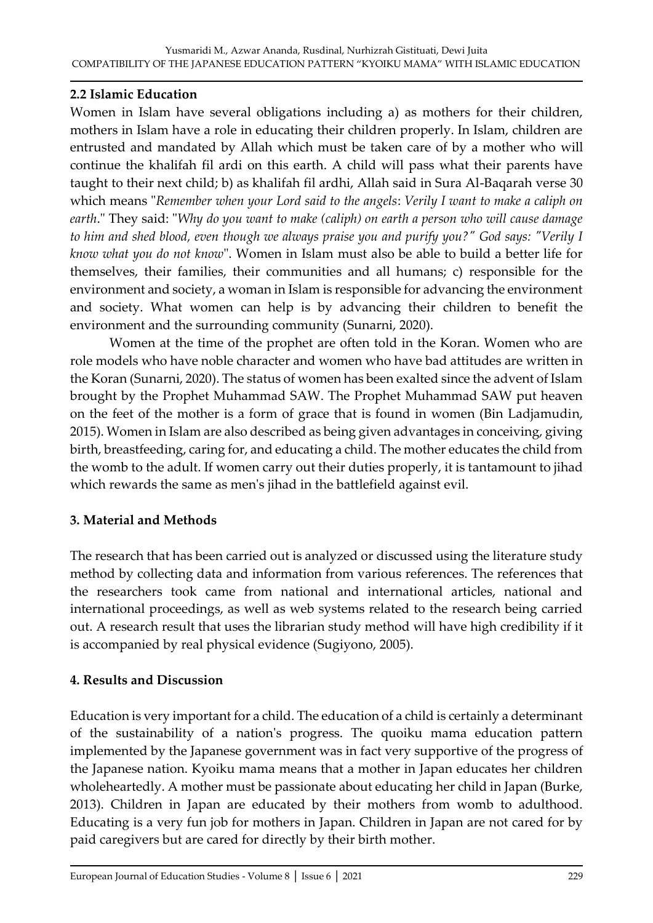# **2.2 Islamic Education**

Women in Islam have several obligations including a) as mothers for their children, mothers in Islam have a role in educating their children properly. In Islam, children are entrusted and mandated by Allah which must be taken care of by a mother who will continue the khalifah fil ardi on this earth. A child will pass what their parents have taught to their next child; b) as khalifah fil ardhi, Allah said in Sura Al-Baqarah verse 30 which means "*Remember when your Lord said to the angels*: *Verily I want to make a caliph on earth*." They said: "*Why do you want to make (caliph) on earth a person who will cause damage to him and shed blood, even though we always praise you and purify you?" God says: "Verily I know what you do not know*". Women in Islam must also be able to build a better life for themselves, their families, their communities and all humans; c) responsible for the environment and society, a woman in Islam is responsible for advancing the environment and society. What women can help is by advancing their children to benefit the environment and the surrounding community (Sunarni, 2020).

Women at the time of the prophet are often told in the Koran. Women who are role models who have noble character and women who have bad attitudes are written in the Koran (Sunarni, 2020). The status of women has been exalted since the advent of Islam brought by the Prophet Muhammad SAW. The Prophet Muhammad SAW put heaven on the feet of the mother is a form of grace that is found in women (Bin Ladjamudin, 2015). Women in Islam are also described as being given advantages in conceiving, giving birth, breastfeeding, caring for, and educating a child. The mother educates the child from the womb to the adult. If women carry out their duties properly, it is tantamount to jihad which rewards the same as men's jihad in the battlefield against evil.

## **3. Material and Methods**

The research that has been carried out is analyzed or discussed using the literature study method by collecting data and information from various references. The references that the researchers took came from national and international articles, national and international proceedings, as well as web systems related to the research being carried out. A research result that uses the librarian study method will have high credibility if it is accompanied by real physical evidence (Sugiyono, 2005).

# **4. Results and Discussion**

Education is very important for a child. The education of a child is certainly a determinant of the sustainability of a nation's progress. The quoiku mama education pattern implemented by the Japanese government was in fact very supportive of the progress of the Japanese nation. Kyoiku mama means that a mother in Japan educates her children wholeheartedly. A mother must be passionate about educating her child in Japan (Burke, 2013). Children in Japan are educated by their mothers from womb to adulthood. Educating is a very fun job for mothers in Japan. Children in Japan are not cared for by paid caregivers but are cared for directly by their birth mother.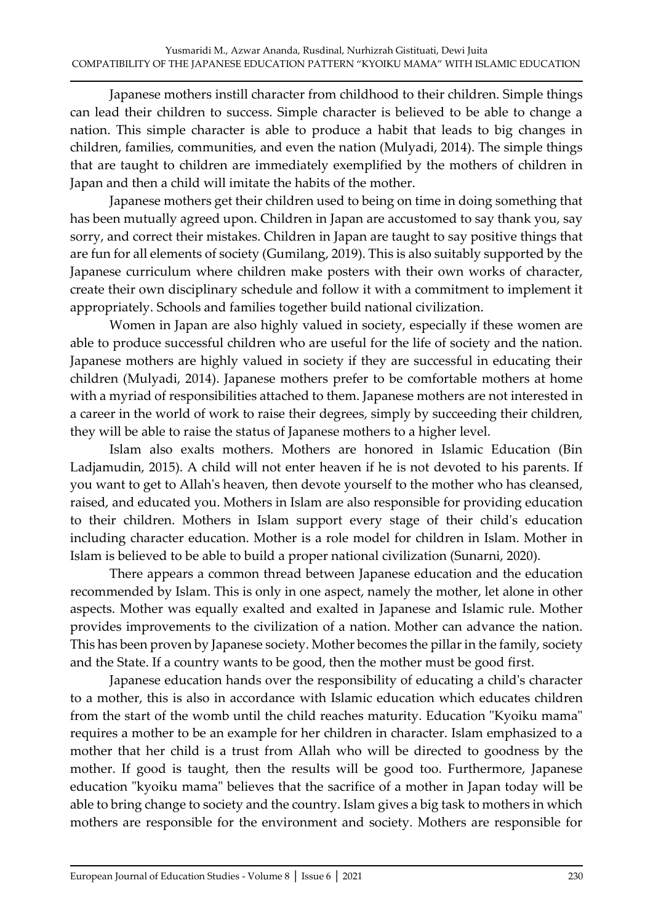Japanese mothers instill character from childhood to their children. Simple things can lead their children to success. Simple character is believed to be able to change a nation. This simple character is able to produce a habit that leads to big changes in children, families, communities, and even the nation (Mulyadi, 2014). The simple things that are taught to children are immediately exemplified by the mothers of children in Japan and then a child will imitate the habits of the mother.

Japanese mothers get their children used to being on time in doing something that has been mutually agreed upon. Children in Japan are accustomed to say thank you, say sorry, and correct their mistakes. Children in Japan are taught to say positive things that are fun for all elements of society (Gumilang, 2019). This is also suitably supported by the Japanese curriculum where children make posters with their own works of character, create their own disciplinary schedule and follow it with a commitment to implement it appropriately. Schools and families together build national civilization.

Women in Japan are also highly valued in society, especially if these women are able to produce successful children who are useful for the life of society and the nation. Japanese mothers are highly valued in society if they are successful in educating their children (Mulyadi, 2014). Japanese mothers prefer to be comfortable mothers at home with a myriad of responsibilities attached to them. Japanese mothers are not interested in a career in the world of work to raise their degrees, simply by succeeding their children, they will be able to raise the status of Japanese mothers to a higher level.

Islam also exalts mothers. Mothers are honored in Islamic Education (Bin Ladjamudin, 2015). A child will not enter heaven if he is not devoted to his parents. If you want to get to Allah's heaven, then devote yourself to the mother who has cleansed, raised, and educated you. Mothers in Islam are also responsible for providing education to their children. Mothers in Islam support every stage of their child's education including character education. Mother is a role model for children in Islam. Mother in Islam is believed to be able to build a proper national civilization (Sunarni, 2020).

There appears a common thread between Japanese education and the education recommended by Islam. This is only in one aspect, namely the mother, let alone in other aspects. Mother was equally exalted and exalted in Japanese and Islamic rule. Mother provides improvements to the civilization of a nation. Mother can advance the nation. This has been proven by Japanese society. Mother becomes the pillar in the family, society and the State. If a country wants to be good, then the mother must be good first.

Japanese education hands over the responsibility of educating a child's character to a mother, this is also in accordance with Islamic education which educates children from the start of the womb until the child reaches maturity. Education "Kyoiku mama" requires a mother to be an example for her children in character. Islam emphasized to a mother that her child is a trust from Allah who will be directed to goodness by the mother. If good is taught, then the results will be good too. Furthermore, Japanese education "kyoiku mama" believes that the sacrifice of a mother in Japan today will be able to bring change to society and the country. Islam gives a big task to mothers in which mothers are responsible for the environment and society. Mothers are responsible for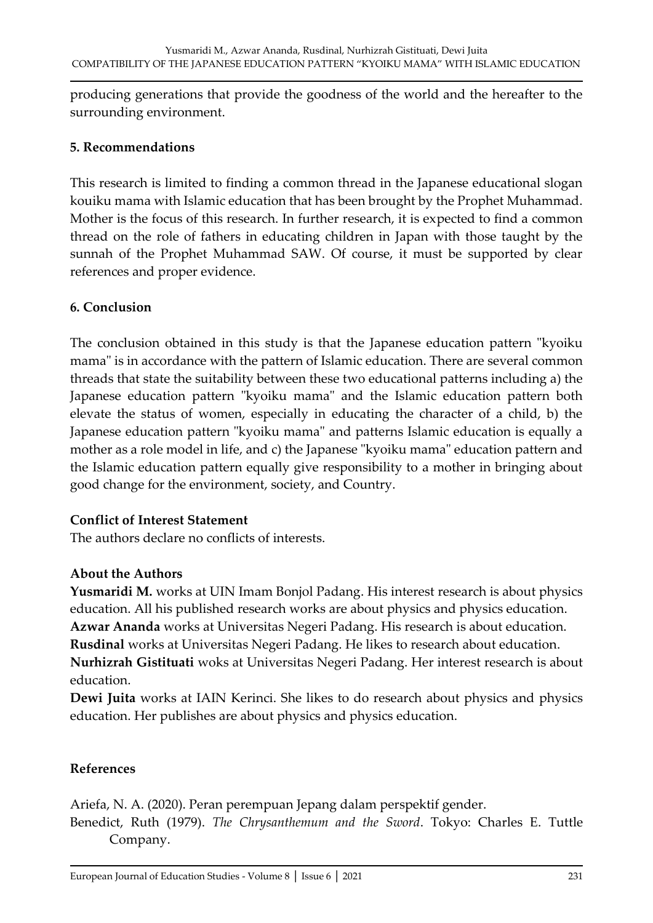producing generations that provide the goodness of the world and the hereafter to the surrounding environment.

### **5. Recommendations**

This research is limited to finding a common thread in the Japanese educational slogan kouiku mama with Islamic education that has been brought by the Prophet Muhammad. Mother is the focus of this research. In further research, it is expected to find a common thread on the role of fathers in educating children in Japan with those taught by the sunnah of the Prophet Muhammad SAW. Of course, it must be supported by clear references and proper evidence.

### **6. Conclusion**

The conclusion obtained in this study is that the Japanese education pattern "kyoiku mama" is in accordance with the pattern of Islamic education. There are several common threads that state the suitability between these two educational patterns including a) the Japanese education pattern "kyoiku mama" and the Islamic education pattern both elevate the status of women, especially in educating the character of a child, b) the Japanese education pattern "kyoiku mama" and patterns Islamic education is equally a mother as a role model in life, and c) the Japanese "kyoiku mama" education pattern and the Islamic education pattern equally give responsibility to a mother in bringing about good change for the environment, society, and Country.

#### **Conflict of Interest Statement**

The authors declare no conflicts of interests.

## **About the Authors**

**Yusmaridi M.** works at UIN Imam Bonjol Padang. His interest research is about physics education. All his published research works are about physics and physics education. **Azwar Ananda** works at Universitas Negeri Padang. His research is about education. **Rusdinal** works at Universitas Negeri Padang. He likes to research about education. **Nurhizrah Gistituati** woks at Universitas Negeri Padang. Her interest research is about education.

**Dewi Juita** works at IAIN Kerinci. She likes to do research about physics and physics education. Her publishes are about physics and physics education.

## **References**

Ariefa, N. A. (2020). Peran perempuan Jepang dalam perspektif gender. Benedict, Ruth (1979). *The Chrysanthemum and the Sword*. Tokyo: Charles E. Tuttle Company.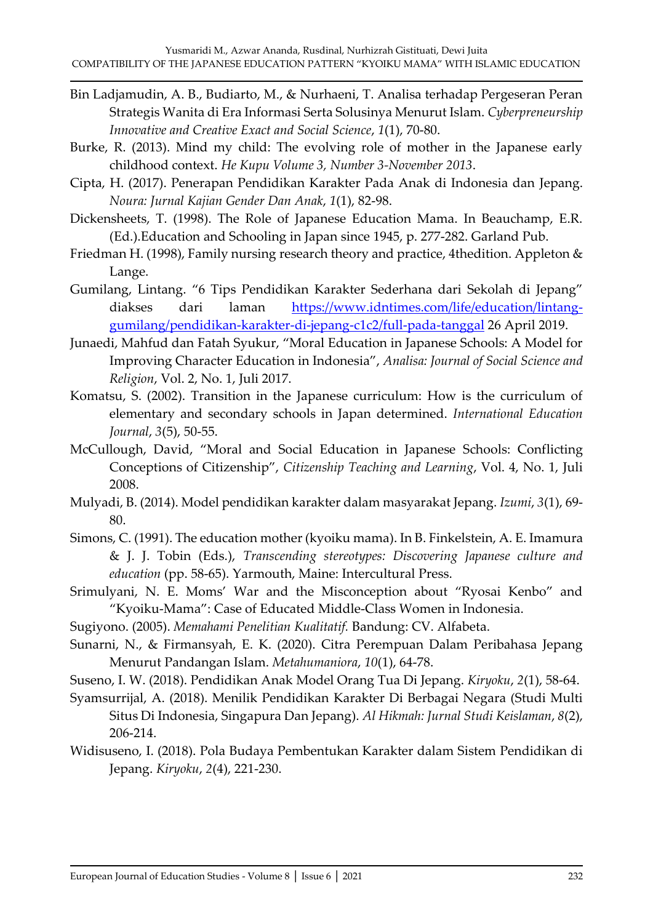- Bin Ladjamudin, A. B., Budiarto, M., & Nurhaeni, T. Analisa terhadap Pergeseran Peran Strategis Wanita di Era Informasi Serta Solusinya Menurut Islam. *Cyberpreneurship Innovative and Creative Exact and Social Science*, *1*(1), 70-80.
- Burke, R. (2013). Mind my child: The evolving role of mother in the Japanese early childhood context. *He Kupu Volume 3, Number 3-November 2013*.
- Cipta, H. (2017). Penerapan Pendidikan Karakter Pada Anak di Indonesia dan Jepang. *Noura: Jurnal Kajian Gender Dan Anak*, *1*(1), 82-98.
- Dickensheets, T. (1998). The Role of Japanese Education Mama. In Beauchamp, E.R. (Ed.).Education and Schooling in Japan since 1945, p. 277-282. Garland Pub.
- Friedman H. (1998), Family nursing research theory and practice, 4thedition. Appleton & Lange.
- Gumilang, Lintang. "6 Tips Pendidikan Karakter Sederhana dari Sekolah di Jepang" diakses dari laman [https://www.idntimes.com/life/education/lintang](https://www.idntimes.com/life/education/lintang-gumilang/pendidikan-karakter-di-jepang-c1c2/full-pada-tanggal)[gumilang/pendidikan-karakter-di-jepang-c1c2/full-pada-tanggal](https://www.idntimes.com/life/education/lintang-gumilang/pendidikan-karakter-di-jepang-c1c2/full-pada-tanggal) 26 April 2019.
- Junaedi, Mahfud dan Fatah Syukur, "Moral Education in Japanese Schools: A Model for Improving Character Education in Indonesia", *Analisa: Journal of Social Science and Religion*, Vol. 2, No. 1, Juli 2017.
- Komatsu, S. (2002). Transition in the Japanese curriculum: How is the curriculum of elementary and secondary schools in Japan determined. *International Education Journal*, *3*(5), 50-55.
- McCullough, David, "Moral and Social Education in Japanese Schools: Conflicting Conceptions of Citizenship", *Citizenship Teaching and Learning*, Vol. 4, No. 1, Juli 2008.
- Mulyadi, B. (2014). Model pendidikan karakter dalam masyarakat Jepang. *Izumi*, *3*(1), 69- 80.
- Simons, C. (1991). The education mother (kyoiku mama). In B. Finkelstein, A. E. Imamura & J. J. Tobin (Eds.), *Transcending stereotypes: Discovering Japanese culture and education* (pp. 58-65). Yarmouth, Maine: Intercultural Press.
- Srimulyani, N. E. Moms' War and the Misconception about "Ryosai Kenbo" and "Kyoiku-Mama": Case of Educated Middle-Class Women in Indonesia.
- Sugiyono. (2005). *Memahami Penelitian Kualitatif.* Bandung: CV. Alfabeta.
- Sunarni, N., & Firmansyah, E. K. (2020). Citra Perempuan Dalam Peribahasa Jepang Menurut Pandangan Islam. *Metahumaniora*, *10*(1), 64-78.
- Suseno, I. W. (2018). Pendidikan Anak Model Orang Tua Di Jepang. *Kiryoku*, *2*(1), 58-64.
- Syamsurrijal, A. (2018). Menilik Pendidikan Karakter Di Berbagai Negara (Studi Multi Situs Di Indonesia, Singapura Dan Jepang). *Al Hikmah: Jurnal Studi Keislaman*, *8*(2), 206-214.
- Widisuseno, I. (2018). Pola Budaya Pembentukan Karakter dalam Sistem Pendidikan di Jepang. *Kiryoku*, *2*(4), 221-230.